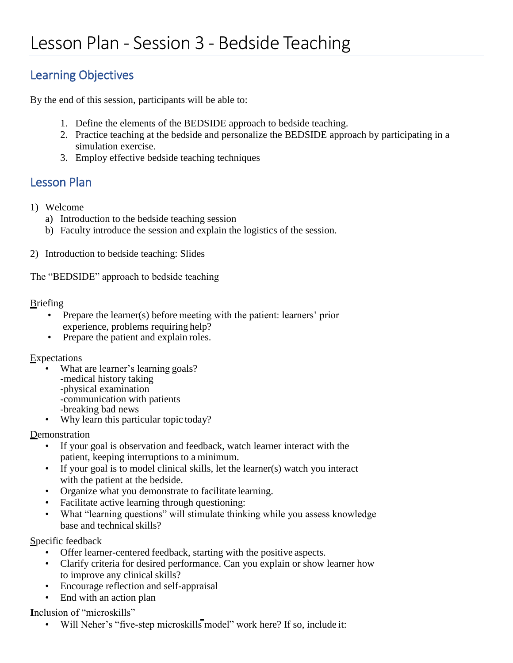# Learning Objectives

By the end of this session, participants will be able to:

- 1. Define the elements of the BEDSIDE approach to bedside teaching.
- 2. Practice teaching at the bedside and personalize the BEDSIDE approach by participating in a simulation exercise.
- 3. Employ effective bedside teaching techniques

## Lesson Plan

- 1) Welcome
	- a) Introduction to the bedside teaching session
	- b) Faculty introduce the session and explain the logistics of the session.
- 2) Introduction to bedside teaching: Slides

The "BEDSIDE" approach to bedside teaching

#### **Briefing**

- Prepare the learner(s) before meeting with the patient: learners' prior experience, problems requiring help?
- Prepare the patient and explain roles.

#### **Expectations**

- What are learner's learning goals? -medical history taking -physical examination -communication with patients -breaking bad news
- Why learn this particular topic today?

**Demonstration** 

- If your goal is observation and feedback, watch learner interact with the patient, keeping interruptions to a minimum.
- If your goal is to model clinical skills, let the learner(s) watch you interact with the patient at the bedside.
- Organize what you demonstrate to facilitate learning.
- Facilitate active learning through questioning:
- What "learning questions" will stimulate thinking while you assess knowledge base and technical skills?

Specific feedback

- Offer learner-centered feedback, starting with the positive aspects.
- Clarify criteria for desired performance. Can you explain or show learner how to improve any clinical skills?
- Encourage reflection and self-appraisal
- End with an action plan

**I**nclusion of "microskills"

• Will Neher's "five-step microskills model" work here? If so, include it: